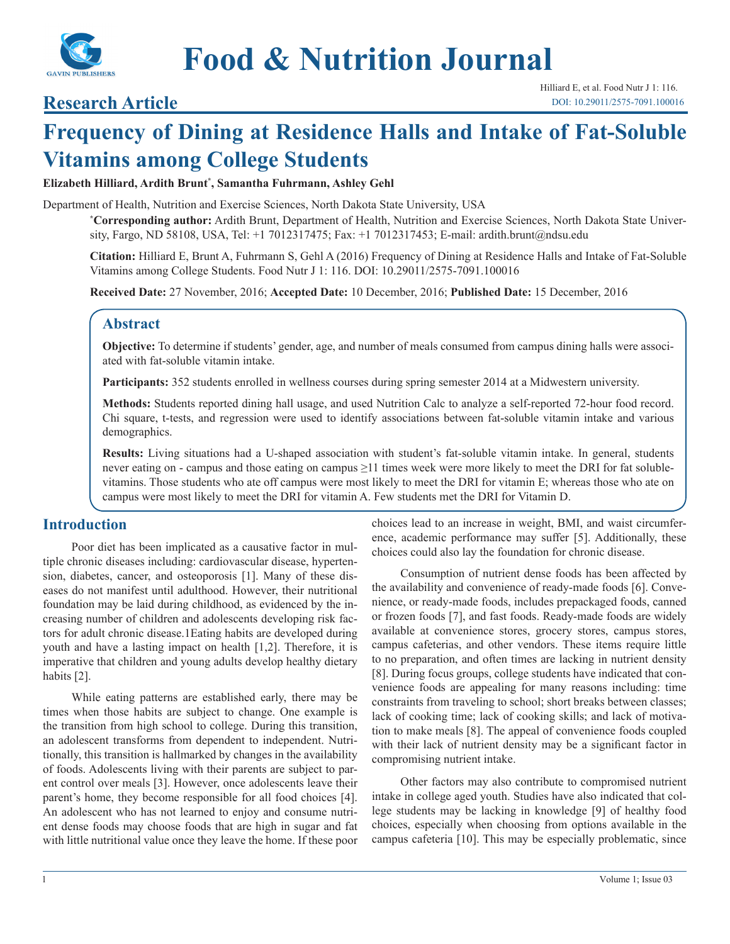

# **Research Article**

# **Frequency of Dining at Residence Halls and Intake of Fat-Soluble Vitamins among College Students**

#### **Elizabeth Hilliard, Ardith Brunt\* , Samantha Fuhrmann, Ashley Gehl**

Department of Health, Nutrition and Exercise Sciences, North Dakota State University, USA

**\* Corresponding author:** Ardith Brunt, Department of Health, Nutrition and Exercise Sciences, North Dakota State University, Fargo, ND 58108, USA, Tel: +1 7012317475; Fax: +1 7012317453; E-mail: ardith.brunt@ndsu.edu

**Citation:** Hilliard E, Brunt A, Fuhrmann S, Gehl A (2016) Frequency of Dining at Residence Halls and Intake of Fat-Soluble Vitamins among College Students. Food Nutr J 1: 116. DOI: 10.29011/2575-7091.100016

**Received Date:** 27 November, 2016; **Accepted Date:** 10 December, 2016; **Published Date:** 15 December, 2016

## **Abstract**

**Objective:** To determine if students' gender, age, and number of meals consumed from campus dining halls were associated with fat-soluble vitamin intake.

**Participants:** 352 students enrolled in wellness courses during spring semester 2014 at a Midwestern university.

**Methods:** Students reported dining hall usage, and used Nutrition Calc to analyze a self-reported 72-hour food record. Chi square, t-tests, and regression were used to identify associations between fat-soluble vitamin intake and various demographics.

**Results:** Living situations had a U-shaped association with student's fat-soluble vitamin intake. In general, students never eating on - campus and those eating on campus ≥11 times week were more likely to meet the DRI for fat solublevitamins. Those students who ate off campus were most likely to meet the DRI for vitamin E; whereas those who ate on campus were most likely to meet the DRI for vitamin A. Few students met the DRI for Vitamin D.

#### **Introduction**

Poor diet has been implicated as a causative factor in multiple chronic diseases including: cardiovascular disease, hypertension, diabetes, cancer, and osteoporosis [1]. Many of these diseases do not manifest until adulthood. However, their nutritional foundation may be laid during childhood, as evidenced by the increasing number of children and adolescents developing risk factors for adult chronic disease.1Eating habits are developed during youth and have a lasting impact on health [1,2]. Therefore, it is imperative that children and young adults develop healthy dietary habits [2].

While eating patterns are established early, there may be times when those habits are subject to change. One example is the transition from high school to college. During this transition, an adolescent transforms from dependent to independent. Nutritionally, this transition is hallmarked by changes in the availability of foods. Adolescents living with their parents are subject to parent control over meals [3]. However, once adolescents leave their parent's home, they become responsible for all food choices [4]. An adolescent who has not learned to enjoy and consume nutrient dense foods may choose foods that are high in sugar and fat with little nutritional value once they leave the home. If these poor choices lead to an increase in weight, BMI, and waist circumference, academic performance may suffer [5]. Additionally, these choices could also lay the foundation for chronic disease.

Consumption of nutrient dense foods has been affected by the availability and convenience of ready-made foods [6]. Convenience, or ready-made foods, includes prepackaged foods, canned or frozen foods [7], and fast foods. Ready-made foods are widely available at convenience stores, grocery stores, campus stores, campus cafeterias, and other vendors. These items require little to no preparation, and often times are lacking in nutrient density [8]. During focus groups, college students have indicated that convenience foods are appealing for many reasons including: time constraints from traveling to school; short breaks between classes; lack of cooking time; lack of cooking skills; and lack of motivation to make meals [8]. The appeal of convenience foods coupled with their lack of nutrient density may be a significant factor in compromising nutrient intake.

Other factors may also contribute to compromised nutrient intake in college aged youth. Studies have also indicated that college students may be lacking in knowledge [9] of healthy food choices, especially when choosing from options available in the campus cafeteria [10]. This may be especially problematic, since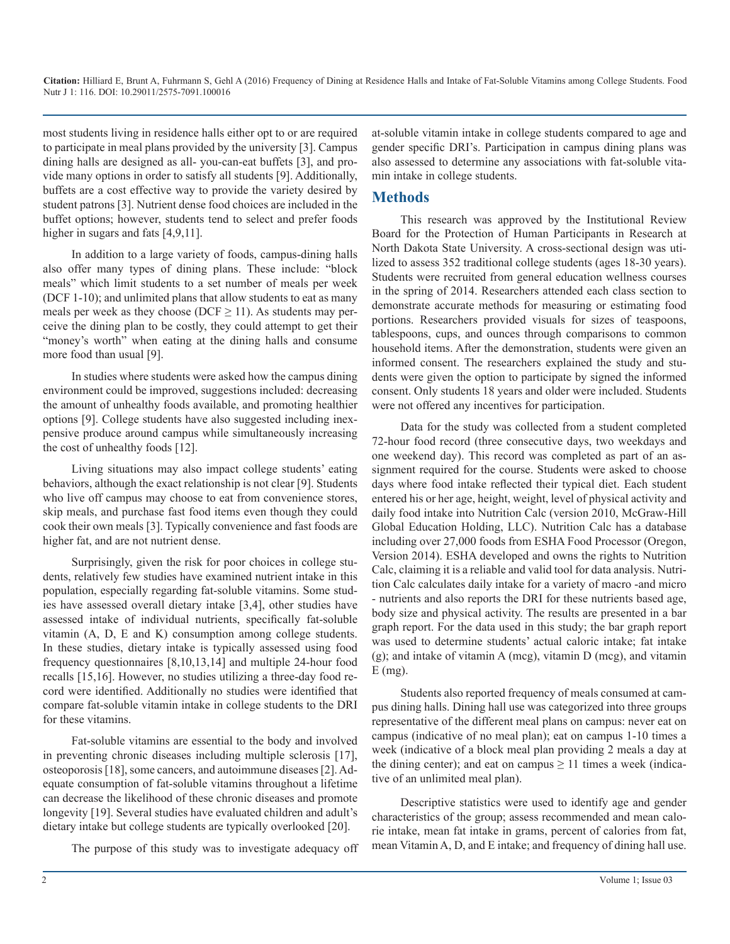most students living in residence halls either opt to or are required to participate in meal plans provided by the university [3]. Campus dining halls are designed as all- you-can-eat buffets [3], and provide many options in order to satisfy all students [9]. Additionally, buffets are a cost effective way to provide the variety desired by student patrons [3]. Nutrient dense food choices are included in the buffet options; however, students tend to select and prefer foods higher in sugars and fats [4,9,11].

In addition to a large variety of foods, campus-dining halls also offer many types of dining plans. These include: "block meals" which limit students to a set number of meals per week (DCF 1-10); and unlimited plans that allow students to eat as many meals per week as they choose (DCF  $\geq$  11). As students may perceive the dining plan to be costly, they could attempt to get their "money's worth" when eating at the dining halls and consume more food than usual [9].

In studies where students were asked how the campus dining environment could be improved, suggestions included: decreasing the amount of unhealthy foods available, and promoting healthier options [9]. College students have also suggested including inexpensive produce around campus while simultaneously increasing the cost of unhealthy foods [12].

Living situations may also impact college students' eating behaviors, although the exact relationship is not clear [9]. Students who live off campus may choose to eat from convenience stores, skip meals, and purchase fast food items even though they could cook their own meals [3]. Typically convenience and fast foods are higher fat, and are not nutrient dense.

Surprisingly, given the risk for poor choices in college students, relatively few studies have examined nutrient intake in this population, especially regarding fat-soluble vitamins. Some studies have assessed overall dietary intake [3,4], other studies have assessed intake of individual nutrients, specifically fat-soluble vitamin (A, D, E and K) consumption among college students. In these studies, dietary intake is typically assessed using food frequency questionnaires [8,10,13,14] and multiple 24-hour food recalls [15,16]. However, no studies utilizing a three-day food record were identified. Additionally no studies were identified that compare fat-soluble vitamin intake in college students to the DRI for these vitamins.

Fat-soluble vitamins are essential to the body and involved in preventing chronic diseases including multiple sclerosis [17], osteoporosis [18], some cancers, and autoimmune diseases [2]. Adequate consumption of fat-soluble vitamins throughout a lifetime can decrease the likelihood of these chronic diseases and promote longevity [19]. Several studies have evaluated children and adult's dietary intake but college students are typically overlooked [20].

The purpose of this study was to investigate adequacy off

at-soluble vitamin intake in college students compared to age and gender specific DRI's. Participation in campus dining plans was also assessed to determine any associations with fat-soluble vitamin intake in college students.

### **Methods**

This research was approved by the Institutional Review Board for the Protection of Human Participants in Research at North Dakota State University. A cross-sectional design was utilized to assess 352 traditional college students (ages 18-30 years). Students were recruited from general education wellness courses in the spring of 2014. Researchers attended each class section to demonstrate accurate methods for measuring or estimating food portions. Researchers provided visuals for sizes of teaspoons, tablespoons, cups, and ounces through comparisons to common household items. After the demonstration, students were given an informed consent. The researchers explained the study and students were given the option to participate by signed the informed consent. Only students 18 years and older were included. Students were not offered any incentives for participation.

Data for the study was collected from a student completed 72-hour food record (three consecutive days, two weekdays and one weekend day). This record was completed as part of an assignment required for the course. Students were asked to choose days where food intake reflected their typical diet. Each student entered his or her age, height, weight, level of physical activity and daily food intake into Nutrition Calc (version 2010, McGraw-Hill Global Education Holding, LLC). Nutrition Calc has a database including over 27,000 foods from ESHA Food Processor (Oregon, Version 2014). ESHA developed and owns the rights to Nutrition Calc, claiming it is a reliable and valid tool for data analysis. Nutrition Calc calculates daily intake for a variety of macro -and micro - nutrients and also reports the DRI for these nutrients based age, body size and physical activity. The results are presented in a bar graph report. For the data used in this study; the bar graph report was used to determine students' actual caloric intake; fat intake (g); and intake of vitamin A (mcg), vitamin D (mcg), and vitamin  $E$  (mg).

Students also reported frequency of meals consumed at campus dining halls. Dining hall use was categorized into three groups representative of the different meal plans on campus: never eat on campus (indicative of no meal plan); eat on campus 1-10 times a week (indicative of a block meal plan providing 2 meals a day at the dining center); and eat on campus  $\geq 11$  times a week (indicative of an unlimited meal plan).

Descriptive statistics were used to identify age and gender characteristics of the group; assess recommended and mean calorie intake, mean fat intake in grams, percent of calories from fat, mean Vitamin A, D, and E intake; and frequency of dining hall use.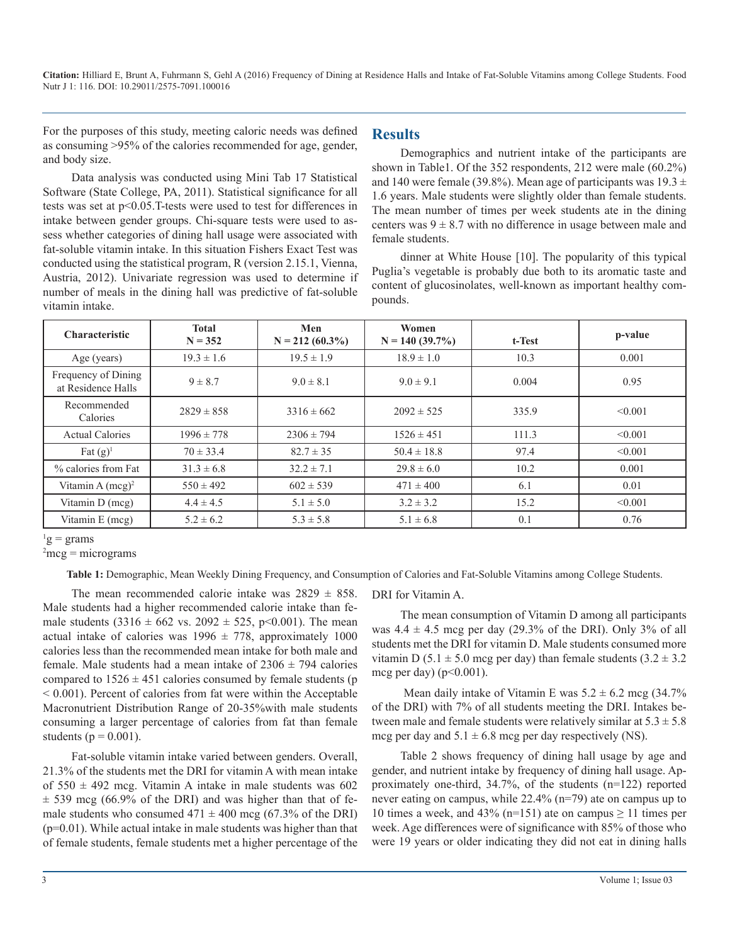For the purposes of this study, meeting caloric needs was defined as consuming >95% of the calories recommended for age, gender, and body size.

Data analysis was conducted using Mini Tab 17 Statistical Software (State College, PA, 2011). Statistical significance for all tests was set at p<0.05.T-tests were used to test for differences in intake between gender groups. Chi-square tests were used to assess whether categories of dining hall usage were associated with fat-soluble vitamin intake. In this situation Fishers Exact Test was conducted using the statistical program, R (version 2.15.1, Vienna, Austria, 2012). Univariate regression was used to determine if number of meals in the dining hall was predictive of fat-soluble vitamin intake.

#### **Results**

Demographics and nutrient intake of the participants are shown in Table1. Of the 352 respondents, 212 were male (60.2%) and 140 were female (39.8%). Mean age of participants was  $19.3 \pm$ 1.6 years. Male students were slightly older than female students. The mean number of times per week students ate in the dining centers was  $9 \pm 8.7$  with no difference in usage between male and female students.

dinner at White House [10]. The popularity of this typical Puglia's vegetable is probably due both to its aromatic taste and content of glucosinolates, well-known as important healthy compounds.

| <b>Characteristic</b>                     | <b>Total</b><br>$N = 352$ | Men<br>$N = 212(60.3\%)$ | Women<br>$N = 140(39.7%)$ | t-Test | p-value |
|-------------------------------------------|---------------------------|--------------------------|---------------------------|--------|---------|
| Age (years)                               | $19.3 \pm 1.6$            | $19.5 \pm 1.9$           | $18.9 \pm 1.0$            | 10.3   | 0.001   |
| Frequency of Dining<br>at Residence Halls | $9 \pm 8.7$               | $9.0 \pm 8.1$            | $9.0 \pm 9.1$             | 0.004  | 0.95    |
| Recommended<br>Calories                   | $2829 \pm 858$            | $3316 \pm 662$           | $2092 \pm 525$            | 335.9  | < 0.001 |
| <b>Actual Calories</b>                    | $1996 \pm 778$            | $2306 \pm 794$           | $1526 \pm 451$            | 111.3  | < 0.001 |
| Fat $(g)^1$                               | $70 \pm 33.4$             | $82.7 \pm 35$            | $50.4 \pm 18.8$           | 97.4   | < 0.001 |
| % calories from Fat                       | $31.3 \pm 6.8$            | $32.2 \pm 7.1$           | $29.8 \pm 6.0$            | 10.2   | 0.001   |
| Vitamin A $(mcg)^2$                       | $550 \pm 492$             | $602 \pm 539$            | $471 \pm 400$             | 6.1    | 0.01    |
| Vitamin D (mcg)                           | $4.4 \pm 4.5$             | $5.1 \pm 5.0$            | $3.2 \pm 3.2$             | 15.2   | < 0.001 |
| Vitamin E (mcg)                           | $5.2 \pm 6.2$             | $5.3 \pm 5.8$            | $5.1 \pm 6.8$             | 0.1    | 0.76    |

 $g = \text{grams}$ 

 $2$ mcg = micrograms

**Table 1:** Demographic, Mean Weekly Dining Frequency, and Consumption of Calories and Fat-Soluble Vitamins among College Students.

The mean recommended calorie intake was  $2829 \pm 858$ . Male students had a higher recommended calorie intake than female students  $(3316 \pm 662 \text{ vs. } 2092 \pm 525, \text{ p} < 0.001)$ . The mean actual intake of calories was  $1996 \pm 778$ , approximately 1000 calories less than the recommended mean intake for both male and female. Male students had a mean intake of  $2306 \pm 794$  calories compared to  $1526 \pm 451$  calories consumed by female students (p < 0.001). Percent of calories from fat were within the Acceptable Macronutrient Distribution Range of 20-35%with male students consuming a larger percentage of calories from fat than female students ( $p = 0.001$ ).

Fat-soluble vitamin intake varied between genders. Overall, 21.3% of the students met the DRI for vitamin A with mean intake of  $550 \pm 492$  mcg. Vitamin A intake in male students was 602  $\pm$  539 mcg (66.9% of the DRI) and was higher than that of female students who consumed  $471 \pm 400$  mcg (67.3% of the DRI) (p=0.01). While actual intake in male students was higher than that of female students, female students met a higher percentage of the DRI for Vitamin A.

The mean consumption of Vitamin D among all participants was  $4.4 \pm 4.5$  mcg per day (29.3% of the DRI). Only 3% of all students met the DRI for vitamin D. Male students consumed more vitamin D (5.1  $\pm$  5.0 mcg per day) than female students (3.2  $\pm$  3.2 mcg per day) ( $p<0.001$ ).

Mean daily intake of Vitamin E was  $5.2 \pm 6.2$  mcg (34.7%) of the DRI) with 7% of all students meeting the DRI. Intakes between male and female students were relatively similar at  $5.3 \pm 5.8$ mcg per day and  $5.1 \pm 6.8$  mcg per day respectively (NS).

Table 2 shows frequency of dining hall usage by age and gender, and nutrient intake by frequency of dining hall usage. Approximately one-third, 34.7%, of the students (n=122) reported never eating on campus, while 22.4% (n=79) ate on campus up to 10 times a week, and 43% (n=151) ate on campus  $\geq$  11 times per week. Age differences were of significance with 85% of those who were 19 years or older indicating they did not eat in dining halls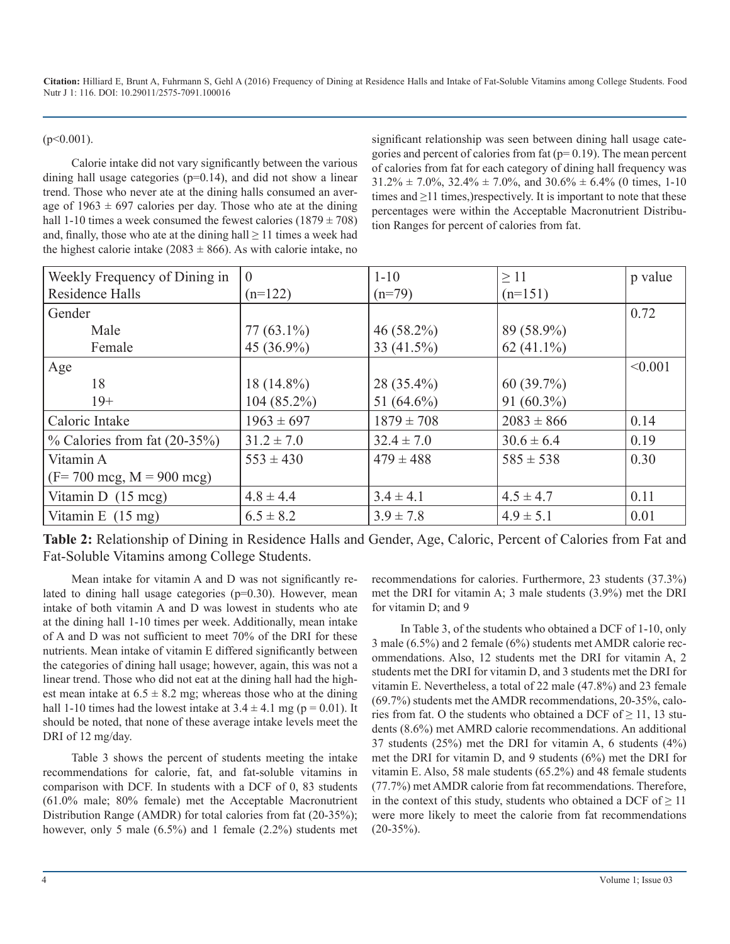$(p<0.001)$ .

Calorie intake did not vary significantly between the various dining hall usage categories  $(p=0.14)$ , and did not show a linear trend. Those who never ate at the dining halls consumed an average of  $1963 \pm 697$  calories per day. Those who ate at the dining hall 1-10 times a week consumed the fewest calories  $(1879 \pm 708)$ and, finally, those who ate at the dining hall  $\geq 11$  times a week had the highest calorie intake ( $2083 \pm 866$ ). As with calorie intake, no

significant relationship was seen between dining hall usage categories and percent of calories from fat ( $p= 0.19$ ). The mean percent of calories from fat for each category of dining hall frequency was  $31.2\% \pm 7.0\%$ ,  $32.4\% \pm 7.0\%$ , and  $30.6\% \pm 6.4\%$  (0 times, 1-10 times and  $\geq$ 11 times,)respectively. It is important to note that these percentages were within the Acceptable Macronutrient Distribution Ranges for percent of calories from fat.

| Weekly Frequency of Dining in                | $\overline{0}$ | $1 - 10$       | $\geq$ 11      | p value |
|----------------------------------------------|----------------|----------------|----------------|---------|
| Residence Halls                              | $(n=122)$      | $(n=79)$       | $(n=151)$      |         |
| Gender                                       |                |                |                | 0.72    |
| Male                                         | $77(63.1\%)$   | $46(58.2\%)$   | 89 (58.9%)     |         |
| Female                                       | 45 (36.9%)     | 33 (41.5%)     | $62(41.1\%)$   |         |
| Age                                          |                |                |                | < 0.001 |
| 18                                           | $18(14.8\%)$   | $28(35.4\%)$   | 60(39.7%)      |         |
| $19+$                                        | $104(85.2\%)$  | 51 $(64.6\%)$  | $91(60.3\%)$   |         |
| Caloric Intake                               | $1963 \pm 697$ | $1879 \pm 708$ | $2083 \pm 866$ | 0.14    |
| $\%$ Calories from fat (20-35%)              | $31.2 \pm 7.0$ | $32.4 \pm 7.0$ | $30.6 \pm 6.4$ | 0.19    |
| Vitamin A                                    | $553 \pm 430$  | $479 \pm 488$  | $585 \pm 538$  | 0.30    |
| $(F = 700 \text{ mcg}, M = 900 \text{ mcg})$ |                |                |                |         |
| Vitamin D $(15 \text{ mcg})$                 | $4.8 \pm 4.4$  | $3.4 \pm 4.1$  | $4.5 \pm 4.7$  | 0.11    |
| Vitamin E $(15 \text{ mg})$                  | $6.5 \pm 8.2$  | $3.9 \pm 7.8$  | $4.9 \pm 5.1$  | 0.01    |

**Table 2:** Relationship of Dining in Residence Halls and Gender, Age, Caloric, Percent of Calories from Fat and Fat-Soluble Vitamins among College Students.

Mean intake for vitamin A and D was not significantly related to dining hall usage categories (p=0.30). However, mean intake of both vitamin A and D was lowest in students who ate at the dining hall 1-10 times per week. Additionally, mean intake of A and D was not sufficient to meet 70% of the DRI for these nutrients. Mean intake of vitamin E differed significantly between the categories of dining hall usage; however, again, this was not a linear trend. Those who did not eat at the dining hall had the highest mean intake at  $6.5 \pm 8.2$  mg; whereas those who at the dining hall 1-10 times had the lowest intake at  $3.4 \pm 4.1$  mg (p = 0.01). It should be noted, that none of these average intake levels meet the DRI of 12 mg/day.

Table 3 shows the percent of students meeting the intake recommendations for calorie, fat, and fat-soluble vitamins in comparison with DCF. In students with a DCF of 0, 83 students (61.0% male; 80% female) met the Acceptable Macronutrient Distribution Range (AMDR) for total calories from fat (20-35%); however, only 5 male (6.5%) and 1 female (2.2%) students met recommendations for calories. Furthermore, 23 students (37.3%) met the DRI for vitamin A; 3 male students (3.9%) met the DRI for vitamin D; and 9

In Table 3, of the students who obtained a DCF of 1-10, only 3 male (6.5%) and 2 female (6%) students met AMDR calorie recommendations. Also, 12 students met the DRI for vitamin A, 2 students met the DRI for vitamin D, and 3 students met the DRI for vitamin E. Nevertheless, a total of 22 male (47.8%) and 23 female (69.7%) students met the AMDR recommendations, 20-35%, calories from fat. O the students who obtained a DCF of  $\geq 11$ , 13 students (8.6%) met AMRD calorie recommendations. An additional 37 students (25%) met the DRI for vitamin A, 6 students (4%) met the DRI for vitamin D, and 9 students (6%) met the DRI for vitamin E. Also, 58 male students (65.2%) and 48 female students (77.7%) met AMDR calorie from fat recommendations. Therefore, in the context of this study, students who obtained a DCF of  $\geq 11$ were more likely to meet the calorie from fat recommendations  $(20-35\%)$ .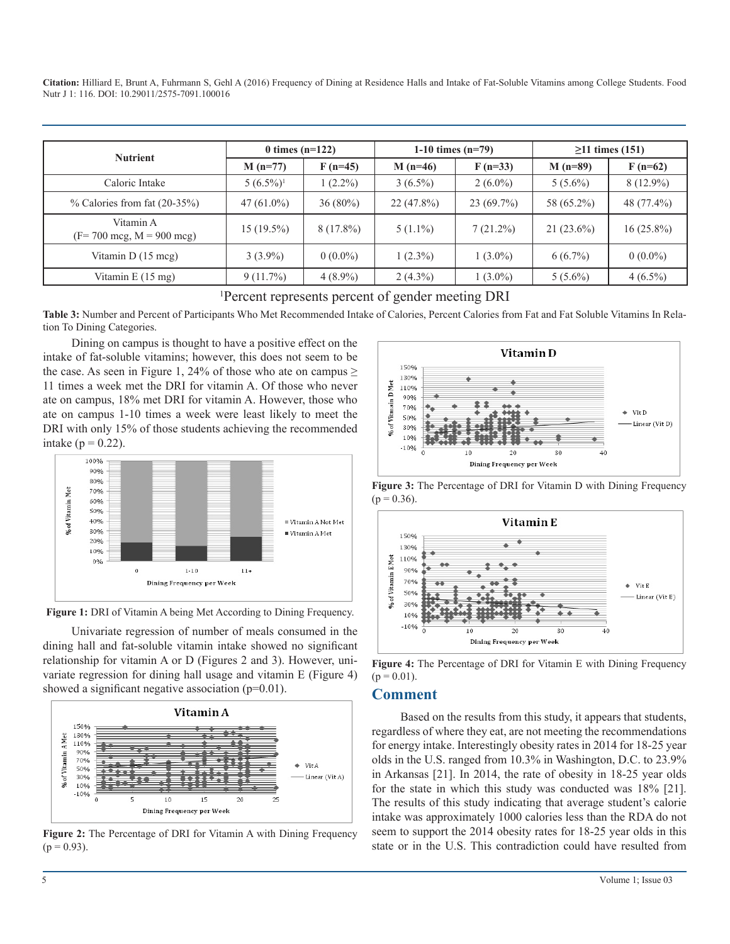| <b>Nutrient</b>                                           | 0 times $(n=122)$       |             | 1-10 times $(n=79)$ |              | $\geq$ 11 times (151) |              |
|-----------------------------------------------------------|-------------------------|-------------|---------------------|--------------|-----------------------|--------------|
|                                                           | $M(n=77)$               | $F(n=45)$   | $M(n=46)$           | $F(n=33)$    | $M(n=89)$             | $F(n=62)$    |
| Caloric Intake                                            | $5(6.5\%)$ <sup>1</sup> | $(2.2\%)$   | $3(6.5\%)$          | $2(6.0\%)$   | $5(5.6\%)$            | $8(12.9\%)$  |
| $\%$ Calories from fat (20-35%)                           | $47(61.0\%)$            | $36(80\%)$  | $22(47.8\%)$        | $23(69.7\%)$ | 58 (65.2%)            | 48 (77.4%)   |
| Vitamin A<br>$(F = 700 \text{ mcg}, M = 900 \text{ mcg})$ | $15(19.5\%)$            | $8(17.8\%)$ | $5(1.1\%)$          | $7(21.2\%)$  | $21(23.6\%)$          | $16(25.8\%)$ |
| Vitamin D (15 mcg)                                        | $3(3.9\%)$              | $0(0.0\%)$  | $1(2.3\%)$          | $1(3.0\%)$   | $6(6.7\%)$            | $0(0.0\%)$   |
| Vitamin E $(15 \text{ mg})$                               | 9(11.7%)                | $4(8.9\%)$  | $2(4.3\%)$          | $1(3.0\%)$   | $5(5.6\%)$            | $4(6.5\%)$   |

#### 1 Percent represents percent of gender meeting DRI

**Table 3:** Number and Percent of Participants Who Met Recommended Intake of Calories, Percent Calories from Fat and Fat Soluble Vitamins In Relation To Dining Categories.

Dining on campus is thought to have a positive effect on the intake of fat-soluble vitamins; however, this does not seem to be the case. As seen in Figure 1, 24% of those who ate on campus  $\geq$ 11 times a week met the DRI for vitamin A. Of those who never ate on campus, 18% met DRI for vitamin A. However, those who ate on campus 1-10 times a week were least likely to meet the DRI with only 15% of those students achieving the recommended intake ( $p = 0.22$ ).



**Figure 1:** DRI of Vitamin A being Met According to Dining Frequency.

Univariate regression of number of meals consumed in the dining hall and fat-soluble vitamin intake showed no significant relationship for vitamin A or D (Figures 2 and 3). However, univariate regression for dining hall usage and vitamin E (Figure 4) showed a significant negative association (p=0.01).



**Figure 2:** The Percentage of DRI for Vitamin A with Dining Frequency  $(p = 0.93)$ .







**Figure 4:** The Percentage of DRI for Vitamin E with Dining Frequency  $(p = 0.01)$ .

#### **Comment**

Based on the results from this study, it appears that students, regardless of where they eat, are not meeting the recommendations for energy intake. Interestingly obesity rates in 2014 for 18-25 year olds in the U.S. ranged from 10.3% in Washington, D.C. to 23.9% in Arkansas [21]. In 2014, the rate of obesity in 18-25 year olds for the state in which this study was conducted was 18% [21]. The results of this study indicating that average student's calorie intake was approximately 1000 calories less than the RDA do not seem to support the 2014 obesity rates for 18-25 year olds in this state or in the U.S. This contradiction could have resulted from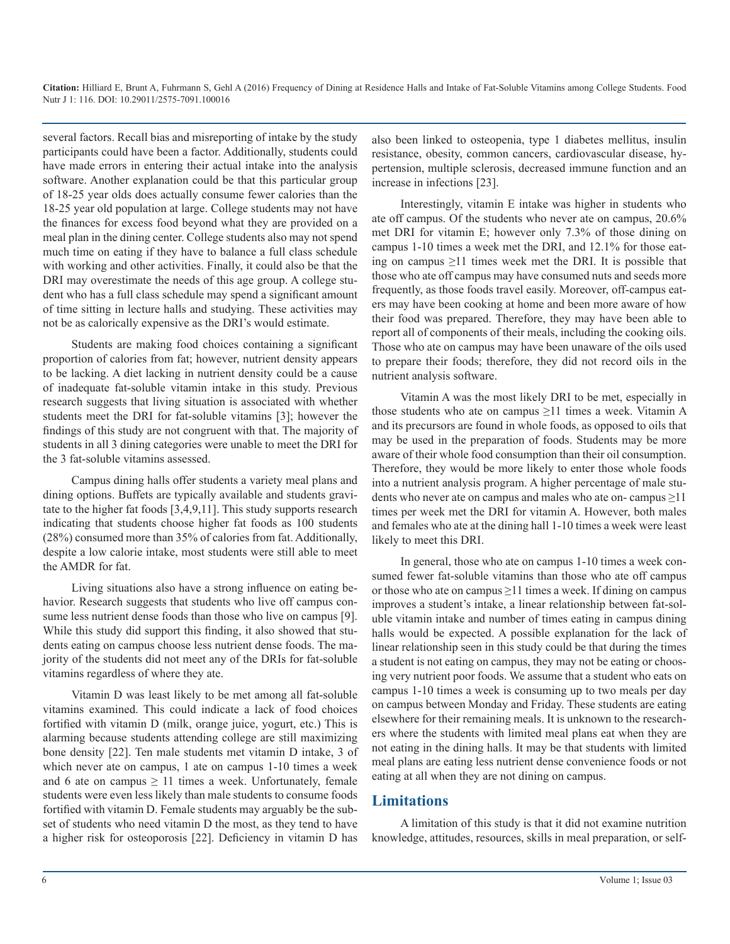several factors. Recall bias and misreporting of intake by the study participants could have been a factor. Additionally, students could have made errors in entering their actual intake into the analysis software. Another explanation could be that this particular group of 18-25 year olds does actually consume fewer calories than the 18-25 year old population at large. College students may not have the finances for excess food beyond what they are provided on a meal plan in the dining center. College students also may not spend much time on eating if they have to balance a full class schedule with working and other activities. Finally, it could also be that the DRI may overestimate the needs of this age group. A college student who has a full class schedule may spend a significant amount of time sitting in lecture halls and studying. These activities may not be as calorically expensive as the DRI's would estimate.

Students are making food choices containing a significant proportion of calories from fat; however, nutrient density appears to be lacking. A diet lacking in nutrient density could be a cause of inadequate fat-soluble vitamin intake in this study. Previous research suggests that living situation is associated with whether students meet the DRI for fat-soluble vitamins [3]; however the findings of this study are not congruent with that. The majority of students in all 3 dining categories were unable to meet the DRI for the 3 fat-soluble vitamins assessed.

Campus dining halls offer students a variety meal plans and dining options. Buffets are typically available and students gravitate to the higher fat foods [3,4,9,11]. This study supports research indicating that students choose higher fat foods as 100 students (28%) consumed more than 35% of calories from fat. Additionally, despite a low calorie intake, most students were still able to meet the AMDR for fat.

Living situations also have a strong influence on eating behavior. Research suggests that students who live off campus consume less nutrient dense foods than those who live on campus [9]. While this study did support this finding, it also showed that students eating on campus choose less nutrient dense foods. The majority of the students did not meet any of the DRIs for fat-soluble vitamins regardless of where they ate.

Vitamin D was least likely to be met among all fat-soluble vitamins examined. This could indicate a lack of food choices fortified with vitamin D (milk, orange juice, yogurt, etc.) This is alarming because students attending college are still maximizing bone density [22]. Ten male students met vitamin D intake, 3 of which never ate on campus, 1 ate on campus 1-10 times a week and 6 ate on campus  $\geq$  11 times a week. Unfortunately, female students were even less likely than male students to consume foods fortified with vitamin D. Female students may arguably be the subset of students who need vitamin D the most, as they tend to have a higher risk for osteoporosis [22]. Deficiency in vitamin D has

also been linked to osteopenia, type 1 diabetes mellitus, insulin resistance, obesity, common cancers, cardiovascular disease, hypertension, multiple sclerosis, decreased immune function and an increase in infections [23].

Interestingly, vitamin E intake was higher in students who ate off campus. Of the students who never ate on campus, 20.6% met DRI for vitamin E; however only 7.3% of those dining on campus 1-10 times a week met the DRI, and 12.1% for those eating on campus ≥11 times week met the DRI. It is possible that those who ate off campus may have consumed nuts and seeds more frequently, as those foods travel easily. Moreover, off-campus eaters may have been cooking at home and been more aware of how their food was prepared. Therefore, they may have been able to report all of components of their meals, including the cooking oils. Those who ate on campus may have been unaware of the oils used to prepare their foods; therefore, they did not record oils in the nutrient analysis software.

Vitamin A was the most likely DRI to be met, especially in those students who ate on campus  $\geq$ 11 times a week. Vitamin A and its precursors are found in whole foods, as opposed to oils that may be used in the preparation of foods. Students may be more aware of their whole food consumption than their oil consumption. Therefore, they would be more likely to enter those whole foods into a nutrient analysis program. A higher percentage of male students who never ate on campus and males who ate on- campus  $\geq$ 11 times per week met the DRI for vitamin A. However, both males and females who ate at the dining hall 1-10 times a week were least likely to meet this DRI.

In general, those who ate on campus 1-10 times a week consumed fewer fat-soluble vitamins than those who ate off campus or those who ate on campus ≥11 times a week. If dining on campus improves a student's intake, a linear relationship between fat-soluble vitamin intake and number of times eating in campus dining halls would be expected. A possible explanation for the lack of linear relationship seen in this study could be that during the times a student is not eating on campus, they may not be eating or choosing very nutrient poor foods. We assume that a student who eats on campus 1-10 times a week is consuming up to two meals per day on campus between Monday and Friday. These students are eating elsewhere for their remaining meals. It is unknown to the researchers where the students with limited meal plans eat when they are not eating in the dining halls. It may be that students with limited meal plans are eating less nutrient dense convenience foods or not eating at all when they are not dining on campus.

#### **Limitations**

A limitation of this study is that it did not examine nutrition knowledge, attitudes, resources, skills in meal preparation, or self-